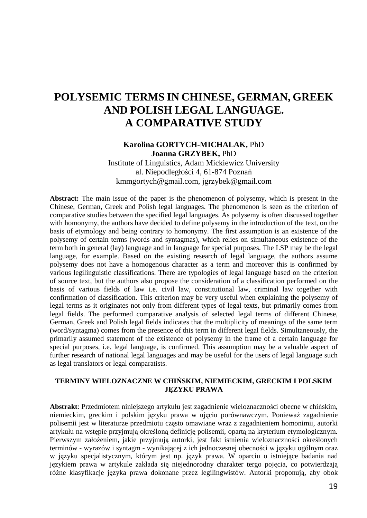# **POLYSEMIC TERMS IN CHINESE, GERMAN, GREEK AND POLISH LEGAL LANGUAGE. A COMPARATIVE STUDY**

### **Karolina GORTYCH-MICHALAK,** PhD **Joanna GRZYBEK,** PhD

Institute of Linguistics, Adam Mickiewicz University al. Niepodległości 4, 61-874 Poznań kmmgortych@gmail.com, jgrzybek@gmail.com

**Abstract:** The main issue of the paper is the phenomenon of polysemy, which is present in the Chinese, German, Greek and Polish legal languages. The phenomenon is seen as the criterion of comparative studies between the specified legal languages. As polysemy is often discussed together with homonymy, the authors have decided to define polysemy in the introduction of the text, on the basis of etymology and being contrary to homonymy. The first assumption is an existence of the polysemy of certain terms (words and syntagmas), which relies on simultaneous existence of the term both in general (lay) language and in language for special purposes. The LSP may be the legal language, for example. Based on the existing research of legal language, the authors assume polysemy does not have a homogenous character as a term and moreover this is confirmed by various legilinguistic classifications. There are typologies of legal language based on the criterion of source text, but the authors also propose the consideration of a classification performed on the basis of various fields of law i.e. civil law, constitutional law, criminal law together with confirmation of classification. This criterion may be very useful when explaining the polysemy of legal terms as it originates not only from different types of legal texts, but primarily comes from legal fields. The performed comparative analysis of selected legal terms of different Chinese, German, Greek and Polish legal fields indicates that the multiplicity of meanings of the same term (word/syntagma) comes from the presence of this term in different legal fields. Simultaneously, the primarily assumed statement of the existence of polysemy in the frame of a certain language for special purposes, i.e. legal language, is confirmed. This assumption may be a valuable aspect of further research of national legal languages and may be useful for the users of legal language such as legal translators or legal comparatists.

#### **TERMINY WIELOZNACZNE W CHIŃSKIM, NIEMIECKIM, GRECKIM I POLSKIM JĘZYKU PRAWA**

**Abstrakt**: Przedmiotem niniejszego artykułu jest zagadnienie wieloznaczności obecne w chińskim, niemieckim, greckim i polskim języku prawa w ujęciu porównawczym. Ponieważ zagadnienie polisemii jest w literaturze przedmiotu często omawiane wraz z zagadnieniem homonimii, autorki artykułu na wstępie przyjmują określoną definicję polisemii, opartą na kryterium etymologicznym. Pierwszym założeniem, jakie przyjmują autorki, jest fakt istnienia wieloznaczności określonych terminów - wyrazów i syntagm - wynikającej z ich jednoczesnej obecności w języku ogólnym oraz w języku specjalistycznym, którym jest np. język prawa. W oparciu o istniejące badania nad językiem prawa w artykule zakłada się niejednorodny charakter tergo pojęcia, co potwierdzają różne klasyfikacje języka prawa dokonane przez legilingwistów. Autorki proponują, aby obok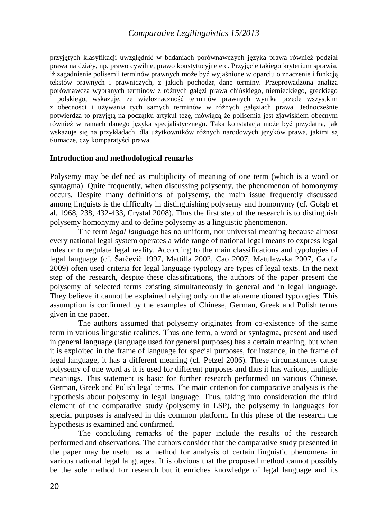przyjętych klasyfikacji uwzględnić w badaniach porównawczych języka prawa również podział prawa na działy, np. prawo cywilne, prawo konstytucyjne etc. Przyjęcie takiego kryterium sprawia, iż zagadnienie polisemii terminów prawnych może być wyjaśnione w oparciu o znaczenie i funkcję tekstów prawnych i prawniczych, z jakich pochodzą dane terminy. Przeprowadzona analiza porównawcza wybranych terminów z różnych gałęzi prawa chińskiego, niemieckiego, greckiego i polskiego, wskazuje, że wieloznaczność terminów prawnych wynika przede wszystkim z obecności i używania tych samych terminów w różnych gałęziach prawa. Jednocześnie potwierdza to przyjętą na początku artykuł tezę, mówiącą że polisemia jest zjawiskiem obecnym również w ramach danego języka specjalistycznego. Taka konstatacja może być przydatna, jak wskazuje się na przykładach, dla użytkowników różnych narodowych języków prawa, jakimi są tłumacze, czy komparatyści prawa.

#### **Introduction and methodological remarks**

Polysemy may be defined as multiplicity of meaning of one term (which is a word or syntagma). Quite frequently, when discussing polysemy, the phenomenon of homonymy occurs. Despite many definitions of polysemy, the main issue frequently discussed among linguists is the difficulty in distinguishing polysemy and homonymy (cf. Gołąb et al. 1968, 238, 432-433, Crystal 2008). Thus the first step of the research is to distinguish polysemy homonymy and to define polysemy as a linguistic phenomenon.

The term *legal language* has no uniform, nor universal meaning because almost every national legal system operates a wide range of national legal means to express legal rules or to regulate legal reality. According to the main classifications and typologies of legal language (cf. Šarčevič 1997, Mattilla 2002, Cao 2007, Matulewska 2007, Galdia 2009) often used criteria for legal language typology are types of legal texts. In the next step of the research, despite these classifications, the authors of the paper present the polysemy of selected terms existing simultaneously in general and in legal language. They believe it cannot be explained relying only on the aforementioned typologies. This assumption is confirmed by the examples of Chinese, German, Greek and Polish terms given in the paper.

The authors assumed that polysemy originates from co-existence of the same term in various linguistic realities. Thus one term, a word or syntagma, present and used in general language (language used for general purposes) has a certain meaning, but when it is exploited in the frame of language for special purposes, for instance, in the frame of legal language, it has a different meaning (cf. Petzel 2006). These circumstances cause polysemy of one word as it is used for different purposes and thus it has various, multiple meanings. This statement is basic for further research performed on various Chinese, German, Greek and Polish legal terms. The main criterion for comparative analysis is the hypothesis about polysemy in legal language. Thus, taking into consideration the third element of the comparative study (polysemy in LSP), the polysemy in languages for special purposes is analysed in this common platform. In this phase of the research the hypothesis is examined and confirmed.

The concluding remarks of the paper include the results of the research performed and observations. The authors consider that the comparative study presented in the paper may be useful as a method for analysis of certain linguistic phenomena in various national legal languages. It is obvious that the proposed method cannot possibly be the sole method for research but it enriches knowledge of legal language and its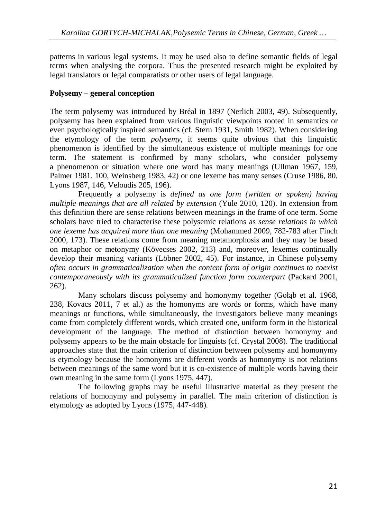patterns in various legal systems. It may be used also to define semantic fields of legal terms when analysing the corpora. Thus the presented research might be exploited by legal translators or legal comparatists or other users of legal language.

# **Polysemy – general conception**

The term polysemy was introduced by Bréal in 1897 (Nerlich 2003, 49). Subsequently, polysemy has been explained from various linguistic viewpoints rooted in semantics or even psychologically inspired semantics (cf. Stern 1931, Smith 1982). When considering the etymology of the term *polysemy*, it seems quite obvious that this linguistic phenomenon is identified by the simultaneous existence of multiple meanings for one term. The statement is confirmed by many scholars, who consider polysemy a phenomenon or situation where one word has many meanings (Ullman 1967, 159, Palmer 1981, 100, Weinsberg 1983, 42) or one lexeme has many senses (Cruse 1986, 80, Lyons 1987, 146, Veloudis 205, 196).

Frequently a polysemy is *defined as one form (written or spoken) having multiple meanings that are all related by extension* (Yule 2010, 120). In extension from this definition there are sense relations between meanings in the frame of one term. Some scholars have tried to characterise these polysemic relations as *sense relations in which one lexeme has acquired more than one meaning* (Mohammed 2009, 782-783 after Finch 2000, 173). These relations come from meaning metamorphosis and they may be based on metaphor or metonymy (Kövecses 2002, 213) and, moreover, lexemes continually develop their meaning variants (Löbner 2002, 45). For instance, in Chinese polysemy *often occurs in grammaticalization when the content form of origin continues to coexist contemporaneously with its grammaticalized function form counterpart (Packard 2001,* 262).

Many scholars discuss polysemy and homonymy together (Gołąb et al. 1968, 238, Kovacs 2011, 7 et al.) as the homonyms are words or forms, which have many meanings or functions, while simultaneously, the investigators believe many meanings come from completely different words, which created one, uniform form in the historical development of the language. The method of distinction between homonymy and polysemy appears to be the main obstacle for linguists (cf. Crystal 2008). The traditional approaches state that the main criterion of distinction between polysemy and homonymy is etymology because the homonyms are different words as homonymy is not relations between meanings of the same word but it is co-existence of multiple words having their own meaning in the same form (Lyons 1975, 447).

The following graphs may be useful illustrative material as they present the relations of homonymy and polysemy in parallel. The main criterion of distinction is etymology as adopted by Lyons (1975, 447-448).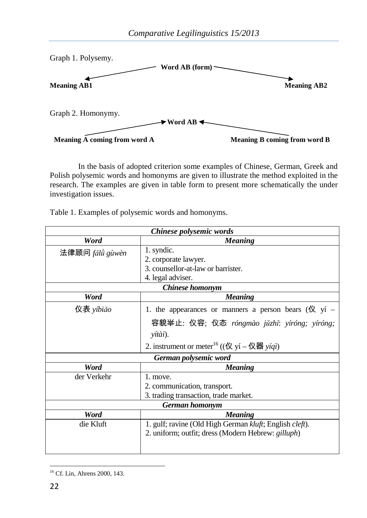

In the basis of adopted criterion some examples of Chinese, German, Greek and Polish polysemic words and homonyms are given to illustrate the method exploited in the research. The examples are given in table form to present more schematically the under investigation issues.

Table 1. Examples of polysemic words and homonyms.

| Chinese polysemic words |                                                                   |  |  |
|-------------------------|-------------------------------------------------------------------|--|--|
| Word                    | <b>Meaning</b>                                                    |  |  |
| 法律顾问 fǎlǜ gùwèn         | 1. syndic.                                                        |  |  |
|                         | 2. corporate lawyer.                                              |  |  |
|                         | 3. counsellor-at-law or barrister.                                |  |  |
|                         | 4. legal adviser.                                                 |  |  |
| <b>Chinese</b> homonym  |                                                                   |  |  |
| Word                    | <b>Meaning</b>                                                    |  |  |
| 仪表 yíbiǎo               | 1. the appearances or manners a person bears ( $\mathcal{R}$ yí – |  |  |
|                         | 容貌举止: 仪容; 仪态 róngmào jǔzhǐ: yíróng; yíróng;                       |  |  |
|                         | yítài).                                                           |  |  |
|                         | 2. instrument or meter <sup>16</sup> ((仪 yí – 仪器 yíqì)            |  |  |
| German polysemic word   |                                                                   |  |  |
| Word                    | <b>Meaning</b>                                                    |  |  |
| der Verkehr             | 1. move.                                                          |  |  |
|                         | 2. communication, transport.                                      |  |  |
|                         | 3. trading transaction, trade market.                             |  |  |
| German homonym          |                                                                   |  |  |
| Word                    | <b>Meaning</b>                                                    |  |  |
| die Kluft               | 1. gulf; ravine (Old High German kluft; English cleft).           |  |  |
|                         | 2. uniform; outfit; dress (Modern Hebrew: gilluph)                |  |  |
|                         |                                                                   |  |  |
|                         |                                                                   |  |  |

<sup>16</sup> Cf. Lin, Ahrens 2000, 143.

 $\overline{a}$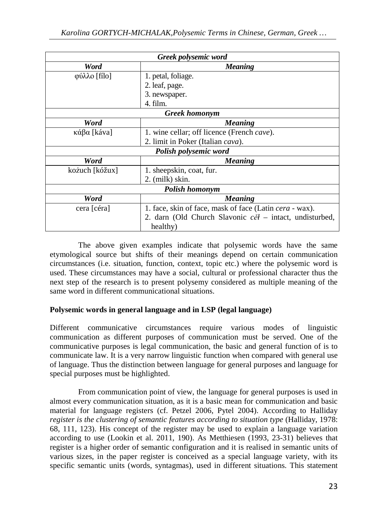| Greek polysemic word  |                                                                |  |
|-----------------------|----------------------------------------------------------------|--|
| Word                  | <b>Meaning</b>                                                 |  |
| φύλλο [fílo]          | 1. petal, foliage.                                             |  |
|                       | 2. leaf, page.                                                 |  |
|                       | 3. newspaper.                                                  |  |
|                       | 4. film.                                                       |  |
| <b>Greek</b> homonym  |                                                                |  |
| Word                  | <b>Meaning</b>                                                 |  |
| κάβα [káva]           | 1. wine cellar; off licence (French <i>cave</i> ).             |  |
|                       | 2. limit in Poker (Italian cava).                              |  |
| Polish polysemic word |                                                                |  |
| Word                  | <b>Meaning</b>                                                 |  |
| kożuch [kóžux]        | 1. sheepskin, coat, fur.                                       |  |
|                       | 2. (milk) skin.                                                |  |
| Polish homonym        |                                                                |  |
| Word                  | <b>Meaning</b>                                                 |  |
| cera [céra]           | 1. face, skin of face, mask of face (Latin <i>cera</i> - wax). |  |
|                       | 2. darn (Old Church Slavonic cěl – intact, undisturbed,        |  |
|                       | healthy)                                                       |  |

The above given examples indicate that polysemic words have the same etymological source but shifts of their meanings depend on certain communication circumstances (i.e. situation, function, context, topic etc.) where the polysemic word is used. These circumstances may have a social, cultural or professional character thus the next step of the research is to present polysemy considered as multiple meaning of the same word in different communicational situations.

# **Polysemic words in general language and in LSP (legal language)**

Different communicative circumstances require various modes of linguistic communication as different purposes of communication must be served. One of the communicative purposes is legal communication, the basic and general function of is to communicate law. It is a very narrow linguistic function when compared with general use of language. Thus the distinction between language for general purposes and language for special purposes must be highlighted.

From communication point of view, the language for general purposes is used in almost every communication situation, as it is a basic mean for communication and basic material for language registers (cf. Petzel 2006, Pytel 2004). According to Halliday *register is the clustering of semantic features according to situation type* (Halliday, 1978: 68, 111, 123). His concept of the register may be used to explain a language variation according to use (Lookin et al. 2011, 190). As Metthiesen (1993, 23-31) believes that register is a higher order of semantic configuration and it is realised in semantic units of various sizes, in the paper register is conceived as a special language variety, with its specific semantic units (words, syntagmas), used in different situations. This statement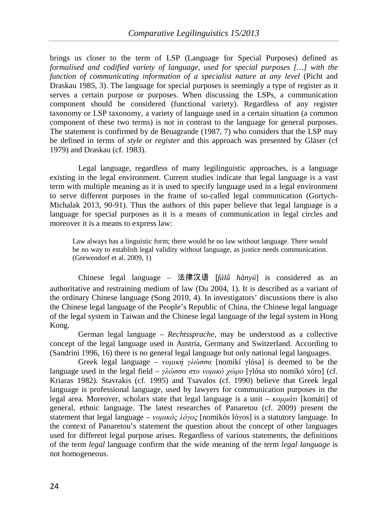brings us closer to the term of LSP (Language for Special Purposes) defined as *formalised and codified variety of language, used for special purposes […] with the function of communicating information of a specialist nature at any level* (Picht and Draskau 1985, 3). The language for special purposes is seemingly a type of register as it serves a certain purpose or purposes. When discussing the LSPs, a communication component should be considered (functional variety). Regardless of any register taxonomy or LSP taxonomy, a variety of language used in a certain situation (a common component of these two terms) is not in contrast to the language for general purposes. The statement is confirmed by de Beuagrande (1987, 7) who considers that the LSP may be defined in terms of *style* or *register* and this approach was presented by Gläser (cf 1979) and Draskau (cf. 1983).

Legal language, regardless of many legilinguistic approaches, is a language existing in the legal environment. Current studies indicate that legal language is a vast term with multiple meaning as it is used to specify language used in a legal environment to serve different purposes in the frame of so-called legal communication (Gortych-Michalak 2013, 90-91). Thus the authors of this paper believe that legal language is a language for special purposes as it is a means of communication in legal circles and moreover it is a means to express law:

Law always has a linguistic form; there would be no law without language. There would be no way to establish legal validity without language, as justice needs communication. (Grewendorf et al. 2009, 1)

Chinese legal language – 法律汉语 [*fǎlǜ hànyŭ*] is considered as an authoritative and restraining medium of law (Du 2004, 1). It is described as a variant of the ordinary Chinese language (Song 2010, 4). In investigators' discussions there is also the Chinese legal language of the People's Republic of China, the Chinese legal language of the legal system in Taiwan and the Chinese legal language of the legal system in Hong Kong.

German legal language – *Rechtssprache,* may be understood as a collective concept of the legal language used in Austria, Germany and Switzerland. According to (Sandrini 1996, 16) there is no general legal language but only national legal languages.

Greek legal language – *νοµική γλώσσα* [nomikí γlósa] is deemed to be the language used in the legal field – *γλώσσα στο νοµικό χώρο* [γlósa sto nomikó xóro] (cf. Kriaras 1982). Stavrakis (cf. 1995) and Tsavalos (cf. 1990) believe that Greek legal language is professional language, used by lawyers for communication purposes in the legal area. Moreover, scholars state that legal language is a unit – *κοµµάτι* [komáti] of general, ethnic language. The latest researches of Panaretou (cf. 2009) present the statement that legal language – *νοµικός λόγος* [nomikós lóγos] is a statutory language. In the context of Panaretou's statement the question about the concept of other languages used for different legal purpose arises. Regardless of various statements, the definitions of the term *legal* language confirm that the wide meaning of the term *legal language* is not homogeneous.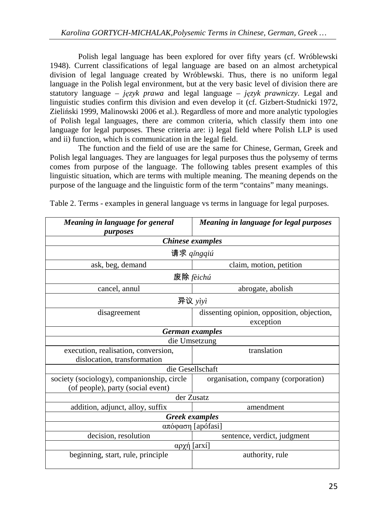Polish legal language has been explored for over fifty years (cf. Wróblewski 1948). Current classifications of legal language are based on an almost archetypical division of legal language created by Wróblewski. Thus, there is no uniform legal language in the Polish legal environment, but at the very basic level of division there are statutory language – *język prawa* and legal language – *język prawniczy*. Legal and linguistic studies confirm this division and even develop it (cf. Gizbert-Studnicki 1972, Zieliński 1999, Malinowski 2006 et al.). Regardless of more and more analytic typologies of Polish legal languages, there are common criteria, which classify them into one language for legal purposes. These criteria are: i) legal field where Polish LLP is used and ii) function, which is communication in the legal field.

The function and the field of use are the same for Chinese, German, Greek and Polish legal languages. They are languages for legal purposes thus the polysemy of terms comes from purpose of the language. The following tables present examples of this linguistic situation, which are terms with multiple meaning. The meaning depends on the purpose of the language and the linguistic form of the term "contains" many meanings.

| Meaning in language for general<br>purposes | Meaning in language for legal purposes     |  |  |  |
|---------------------------------------------|--------------------------------------------|--|--|--|
| Chinese examples                            |                                            |  |  |  |
| 请求 qǐngqiú                                  |                                            |  |  |  |
| ask, beg, demand                            | claim, motion, petition                    |  |  |  |
| 废除 fèichú                                   |                                            |  |  |  |
| cancel, annul                               | abrogate, abolish                          |  |  |  |
| 异议 yìyì                                     |                                            |  |  |  |
| disagreement                                | dissenting opinion, opposition, objection, |  |  |  |
|                                             | exception                                  |  |  |  |
| German examples                             |                                            |  |  |  |
|                                             | die Umsetzung                              |  |  |  |
| execution, realisation, conversion,         | translation                                |  |  |  |
| dislocation, transformation                 |                                            |  |  |  |
| die Gesellschaft                            |                                            |  |  |  |
| society (sociology), companionship, circle  | organisation, company (corporation)        |  |  |  |
| (of people), party (social event)           |                                            |  |  |  |
| der Zusatz                                  |                                            |  |  |  |
| addition, adjunct, alloy, suffix            | amendment                                  |  |  |  |
| <b>Greek</b> examples                       |                                            |  |  |  |
| απόφαση [apófasi]                           |                                            |  |  |  |
| decision, resolution                        | sentence, verdict, judgment                |  |  |  |
| αρχή [arxí]                                 |                                            |  |  |  |
| beginning, start, rule, principle           | authority, rule                            |  |  |  |

Table 2. Terms - examples in general language vs terms in language for legal purposes.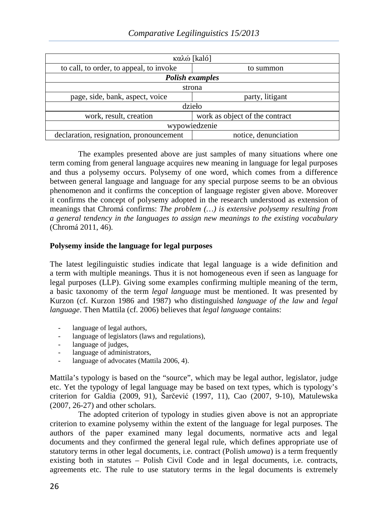| καλώ [kaló]                             |                                |  |  |  |
|-----------------------------------------|--------------------------------|--|--|--|
| to call, to order, to appeal, to invoke | to summon                      |  |  |  |
| <b>Polish examples</b>                  |                                |  |  |  |
| strona                                  |                                |  |  |  |
| page, side, bank, aspect, voice         | party, litigant                |  |  |  |
| dzieło                                  |                                |  |  |  |
| work, result, creation                  | work as object of the contract |  |  |  |
| wypowiedzenie                           |                                |  |  |  |
| declaration, resignation, pronouncement | notice, denunciation           |  |  |  |

The examples presented above are just samples of many situations where one term coming from general language acquires new meaning in language for legal purposes and thus a polysemy occurs. Polysemy of one word, which comes from a difference between general language and language for any special purpose seems to be an obvious phenomenon and it confirms the conception of language register given above. Moreover it confirms the concept of polysemy adopted in the research understood as extension of meanings that Chromá confirms: *The problem (…) is extensive polysemy resulting from a general tendency in the languages to assign new meanings to the existing vocabulary* (Chromá 2011, 46).

# **Polysemy inside the language for legal purposes**

The latest legilinguistic studies indicate that legal language is a wide definition and a term with multiple meanings. Thus it is not homogeneous even if seen as language for legal purposes (LLP). Giving some examples confirming multiple meaning of the term, a basic taxonomy of the term *legal language* must be mentioned. It was presented by Kurzon (cf. Kurzon 1986 and 1987) who distinguished *language of the law* and *legal language*. Then Mattila (cf. 2006) believes that *legal language* contains:

- language of legal authors,
- language of legislators (laws and regulations),
- language of judges,
- language of administrators,
- language of advocates (Mattila 2006, 4).

Mattila's typology is based on the "source", which may be legal author, legislator, judge etc. Yet the typology of legal language may be based on text types, which is typology's criterion for Galdia (2009, 91), Šarčević (1997, 11), Cao (2007, 9-10), Matulewska (2007, 26-27) and other scholars.

The adopted criterion of typology in studies given above is not an appropriate criterion to examine polysemy within the extent of the language for legal purposes. The authors of the paper examined many legal documents, normative acts and legal documents and they confirmed the general legal rule, which defines appropriate use of statutory terms in other legal documents, i.e. contract (Polish *umowa*) is a term frequently existing both in statutes – Polish Civil Code and in legal documents, i.e. contracts, agreements etc. The rule to use statutory terms in the legal documents is extremely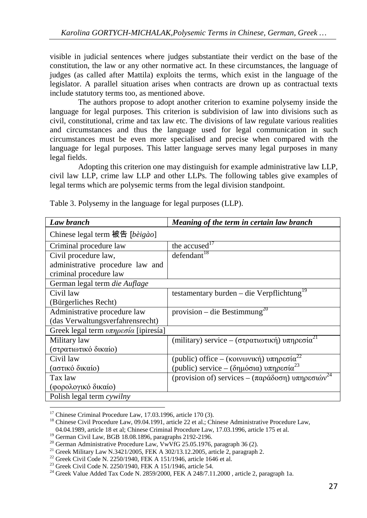visible in judicial sentences where judges substantiate their verdict on the base of the constitution, the law or any other normative act. In these circumstances, the language of judges (as called after Mattila) exploits the terms, which exist in the language of the legislator. A parallel situation arises when contracts are drown up as contractual texts include statutory terms too, as mentioned above.

The authors propose to adopt another criterion to examine polysemy inside the language for legal purposes. This criterion is subdivision of law into divisions such as civil, constitutional, crime and tax law etc. The divisions of law regulate various realities and circumstances and thus the language used for legal communication in such circumstances must be even more specialised and precise when compared with the language for legal purposes. This latter language serves many legal purposes in many legal fields.

Adopting this criterion one may distinguish for example administrative law LLP, civil law LLP, crime law LLP and other LLPs. The following tables give examples of legal terms which are polysemic terms from the legal division standpoint.

| Law branch                                                          | Meaning of the term in certain law branch                   |
|---------------------------------------------------------------------|-------------------------------------------------------------|
| Chinese legal term 被告 [bèigào]                                      |                                                             |
| Criminal procedure law                                              | the accused <sup>17</sup>                                   |
| Civil procedure law,                                                | defendant <sup>18</sup>                                     |
| administrative procedure law and                                    |                                                             |
| criminal procedure law                                              |                                                             |
| German legal term die Auflage                                       |                                                             |
| Civil law                                                           | testamentary burden – die Verpflichtung <sup>19</sup>       |
| (Bürgerliches Recht)                                                |                                                             |
| Administrative procedure law                                        | provision – die Bestimmung <sup>20</sup>                    |
| (das Verwaltungsverfahrensrecht)                                    |                                                             |
| Greek legal term $v\pi\eta\rho\varepsilon\sigma i\alpha$ [ipiresía] |                                                             |
| Military law                                                        | (military) service – (στρατιωτική) υπηρεσία <sup>21</sup>   |
| (στρατιωτικό δικαίο)                                                |                                                             |
| Civil law                                                           | (public) office – (κοινωνική) υπηρεσία <sup>22</sup>        |
| (αστικό δικαίο)                                                     | (public) service – (δημόσια) υπηρεσία <sup>23</sup>         |
| Tax law                                                             | (provision of) services – (παράδοση) υπηρεσιών <sup>2</sup> |
| (φορολογικό δικαίο)                                                 |                                                             |
| Polish legal term cywilny                                           |                                                             |
|                                                                     |                                                             |

Table 3. Polysemy in the language for legal purposes (LLP).

 $17$  Chinese Criminal Procedure Law, 17.03.1996, article 170 (3).

<sup>&</sup>lt;sup>18</sup> Chinese Civil Procedure Law, 09.04.1991, article 22 et al.; Chinese Administrative Procedure Law,

<sup>04.04.1989,</sup> article 18 et al; Chinese Criminal Procedure Law, 17.03.1996, article 175 et al.

<sup>19</sup> German Civil Law, BGB 18.08.1896, paragraphs 2192-2196.

<sup>&</sup>lt;sup>20</sup> German Administrative Procedure Law, VwVfG 25.05.1976, paragraph 36 (2).

<sup>&</sup>lt;sup>21</sup> Greek Military Law N.3421/2005, FEK A 302/13.12.2005, article 2, paragraph 2.

<sup>&</sup>lt;sup>22</sup> Greek Civil Code N. 2250/1940, FEK A 151/1946, article 1646 et al.

<sup>&</sup>lt;sup>23</sup> Greek Civil Code N. 2250/1940, FEK A 151/1946, article 54.

<sup>&</sup>lt;sup>24</sup> Greek Value Added Tax Code N. 2859/2000, FEK A 248/7.11.2000, article 2, paragraph 1a.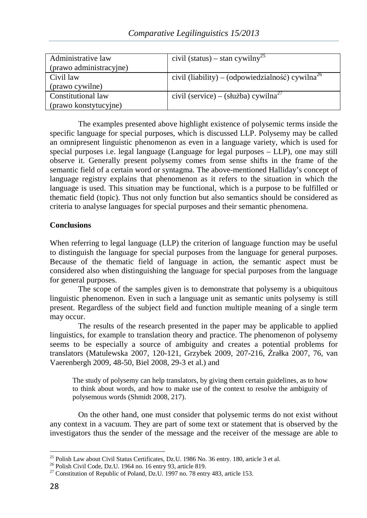| Administrative law      | civil (status) – stan cywilny <sup>25</sup>                  |
|-------------------------|--------------------------------------------------------------|
| (prawo administracyjne) |                                                              |
| Civil law               | civil (liability) – (odpowiedzialność) cywilna <sup>26</sup> |
| (prawo cywilne)         |                                                              |
| Constitutional law      | civil (service) – (służba) cywilna <sup>27</sup>             |
| (prawo konstytucyjne)   |                                                              |

The examples presented above highlight existence of polysemic terms inside the specific language for special purposes, which is discussed LLP. Polysemy may be called an omnipresent linguistic phenomenon as even in a language variety, which is used for special purposes i.e. legal language (Language for legal purposes – LLP), one may still observe it. Generally present polysemy comes from sense shifts in the frame of the semantic field of a certain word or syntagma. The above-mentioned Halliday's concept of language registry explains that phenomenon as it refers to the situation in which the language is used. This situation may be functional, which is a purpose to be fulfilled or thematic field (topic). Thus not only function but also semantics should be considered as criteria to analyse languages for special purposes and their semantic phenomena.

# **Conclusions**

When referring to legal language (LLP) the criterion of language function may be useful to distinguish the language for special purposes from the language for general purposes. Because of the thematic field of language in action, the semantic aspect must be considered also when distinguishing the language for special purposes from the language for general purposes.

The scope of the samples given is to demonstrate that polysemy is a ubiquitous linguistic phenomenon. Even in such a language unit as semantic units polysemy is still present. Regardless of the subject field and function multiple meaning of a single term may occur.

The results of the research presented in the paper may be applicable to applied linguistics, for example to translation theory and practice. The phenomenon of polysemy seems to be especially a source of ambiguity and creates a potential problems for translators (Matulewska 2007, 120-121, Grzybek 2009, 207-216, Źrałka 2007, 76, van Vaerenbergh 2009, 48-50, Biel 2008, 29-3 et al.) and

The study of polysemy can help translators, by giving them certain guidelines, as to how to think about words, and how to make use of the context to resolve the ambiguity of polysemous words (Shmidt 2008, 217).

On the other hand, one must consider that polysemic terms do not exist without any context in a vacuum. They are part of some text or statement that is observed by the investigators thus the sender of the message and the receiver of the message are able to

 $\overline{a}$ 

<sup>&</sup>lt;sup>25</sup> Polish Law about Civil Status Certificates, Dz.U. 1986 No. 36 entry. 180, article 3 et al.

 $26$  Polish Civil Code, Dz.U. 1964 no. 16 entry 93, article 819.

<sup>&</sup>lt;sup>27</sup> Constitution of Republic of Poland, Dz.U. 1997 no. 78 entry 483, article 153.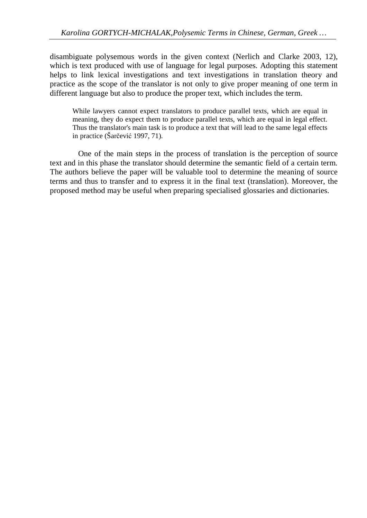disambiguate polysemous words in the given context (Nerlich and Clarke 2003, 12), which is text produced with use of language for legal purposes. Adopting this statement helps to link lexical investigations and text investigations in translation theory and practice as the scope of the translator is not only to give proper meaning of one term in different language but also to produce the proper text, which includes the term.

While lawyers cannot expect translators to produce parallel texts, which are equal in meaning, they do expect them to produce parallel texts, which are equal in legal effect. Thus the translator's main task is to produce a text that will lead to the same legal effects in practice (Šarčević 1997, 71).

One of the main steps in the process of translation is the perception of source text and in this phase the translator should determine the semantic field of a certain term. The authors believe the paper will be valuable tool to determine the meaning of source terms and thus to transfer and to express it in the final text (translation). Moreover, the proposed method may be useful when preparing specialised glossaries and dictionaries.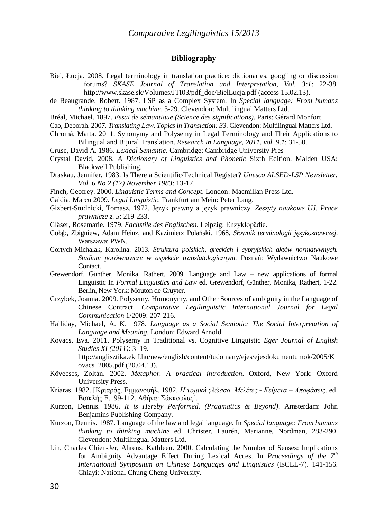#### **Bibliography**

- Biel, Łucja. 2008. Legal terminology in translation practice: dictionaries, googling or discussion forums? *SKASE Journal of Translation and Interpretation, Vol. 3:1*: 22-38. http://www.skase.sk/Volumes/JTI03/pdf\_doc/BielLucja.pdf (access 15.02.13).
- de Beaugrande, Robert. 1987. LSP as a Complex System. In *Special language: From humans thinking to thinking machine*, 3-29. Clevendon: Multilingual Matters Ltd.
- Bréal, Michael. 1897. *Essai de sémantique (Science des significations)*. Paris: Gérard Monfort.
- Cao, Deborah. 2007. *Translating Law. Topics in Translation: 33*. Clevendon: Multilingual Matters Ltd.
- Chromá, Marta. 2011. Synonymy and Polysemy in Legal Terminology and Their Applications to Bilingual and Bijural Translation. *Research in Language, 2011, vol. 9.1*: 31-50.
- Cruse, David A. 1986. *Lexical Semantic*. Cambridge: Cambridge University Pres
- Crystal David, 2008. *A Dictionary of Linguistics and Phonetic* Sixth Edition. Malden USA: Blackwell Publishing.
- Draskau, Jennifer. 1983. Is There a Scientific/Technical Register? *Unesco ALSED-LSP Newsletter. Vol. 6 No 2 (17) November 1983*: 13-17.
- Finch, Geofrey. 2000. *Linguistic Terms and Concept*. London: Macmillan Press Ltd.
- Galdia, Marcu 2009. *Legal Linguistic*. Frankfurt am Mein: Peter Lang.
- Gizbert-Studnicki, Tomasz. 1972. Język prawny a język prawniczy. *Zeszyty naukowe UJ. Prace prawnicze z. 5*: 219-233.
- Gläser, Rosemarie. 1979. *Fachstile des Englischen*. Leipzig: Enzyklopädie.
- Gołąb, Zbigniew, Adam Heinz, and Kazimierz Polański. 1968. *Słownik terminologii językoznawczej*. Warszawa: PWN.
- Gortych-Michalak, Karolina. 2013. *Struktura polskich, greckich i cypryjskich aktów normatywnych. Studium porównawcze w aspekcie translatologicznym*. Poznań: Wydawnictwo Naukowe Contact.
- Grewendorf, Günther, Monika, Rathert. 2009. Language and Law new applications of formal Linguistic In *Formal Linguistics and Law* ed. Grewendorf, Günther, Monika, Rathert, 1-22. Berlin, New York: Mouton de Gruyter.
- Grzybek, Joanna. 2009. Polysemy, Homonymy, and Other Sources of ambiguity in the Language of Chinese Contract. *Comparative Legilinguistic International Journal for Legal Communication* 1/2009: 207-216.
- Halliday, Michael, A. K. 1978. *Language as a Social Semiotic: The Social Interpretation of Language and Meaning*. London: Edward Arnold.
- Kovacs, Eva. 2011. Polysemy in Traditional vs. Cognitive Linguistic *Eger Journal of English Studies XI (2011)*: 3–19. http://anglisztika.ektf.hu/new/english/content/tudomany/ejes/ejesdokumentumok/2005/K ovacs\_2005.pdf (20.04.13).
- Kövecses, Zoltán. 2002. *Metaphor. A practical introduction*. Oxford, New York: Oxford University Press.
- Kriaras. 1982. [Κριαράς, Εµµανουήλ. 1982. *Η νοµική γλώσσα. Μελέτες Κείµενα Αποφάσεις*. ed. Βοϊκλής Ε. 99-112. Αθήνα: Σάκκουλας].
- Kurzon, Dennis. 1986. *It is Hereby Performed. (Pragmatics & Beyond)*. Amsterdam: John Benjamins Publishing Company.
- Kurzon, Dennis. 1987. Language of the law and legal language. In *Special language: From humans thinking to thinking machine* ed. Christer, Laurén, Marianne, Nordman, 283-290. Clevendon: Multilingual Matters Ltd.
- Lin, Charles Chien-Jer, Ahrens, Kathleen. 2000. Calculating the Number of Senses: Implications for Ambiguity Advantage Effect During Lexical Acces. In *Proceedings of the 7th International Symposium on Chinese Languages and Linguistics* (IsCLL-7). 141-156. Chiayi: National Chung Cheng University.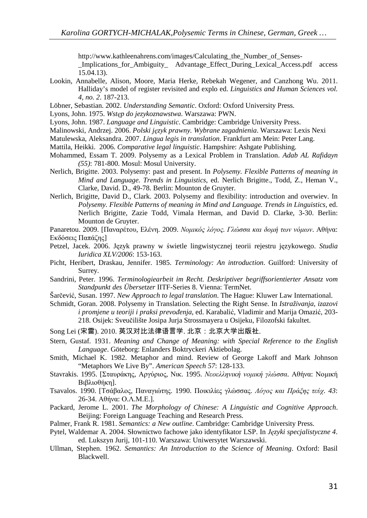http://www.kathleenahrens.com/images/Calculating\_the\_Number\_of\_Senses-

\_Implications\_for\_Ambiguity\_ Advantage\_Effect\_During\_Lexical\_Access.pdf access 15.04.13).

- Lookin, Annabelle, Alison, Moore, Maria Herke, Rebekah Wegener, and Canzhong Wu. 2011. Halliday's model of register revisited and explo ed. *Linguistics and Human Sciences vol. 4, no. 2*. 187-213.
- Löbner, Sebastian. 2002. *Understanding Semantic*. Oxford: Oxford University Press.
- Lyons, John. 1975. *Wstęp do jezykoznawstwa*. Warszawa: PWN.
- Lyons, John. 1987. *Language and Linguistic*. Cambridge: Cambridge University Press.
- Malinowski, Andrzej. 2006. *Polski język prawny. Wybrane zagadnienia*. Warszawa: Lexis Nexi
- Matulewska, Aleksandra. 2007. *Lingua legis in translation*. Frankfurt am Mein: Peter Lang.
- Mattila, Heikki. 2006. *Comparative legal linguistic*. Hampshire: Ashgate Publishing.
- Mohammed, Essam T. 2009. Polysemy as a Lexical Problem in Translation. *Adab AL Rafidayn (55)*: 781-800. Mosul: Mosul University.
- Nerlich, Brigitte. 2003. Polysemy: past and present. In *Polysemy. Flexible Patterns of meaning in Mind and Language. Trends in Linguistics,* ed. Nerlich Brigitte., Todd, Z., Heman V., Clarke, David. D., 49-78. Berlin: Mounton de Gruyter.
- Nerlich, Brigitte, David D., Clark. 2003. Polysemy and flexibility: introduction and overwiev. In *Polysemy. Flexible Patterns of meaning in Mind and Language. Trends in Linguistics,* ed. Nerlich Brigitte, Zazie Todd, Vimala Herman, and David D. Clarke, 3-30. Berlin: Mounton de Gruyter.
- Panaretou. 2009. [Παναρέτου, Ελένη. 2009. *Νοµικός λόγος. Γλώσσα και δοµή των νόµων*. Αθήνα: Εκδόσεις Παπάζης]
- Petzel, Jacek. 2006. Język prawny w świetle lingwistycznej teorii rejestru językowego. *Studia Iuridica XLV/2006*: 153-163.
- Picht, Heribert, Draskau, Jennifer. 1985. *Terminology: An introduction*. Guilford: University of Surrey.
- Sandrini, Peter. 1996. *Terminologiearbeit im Recht. Deskriptiver begriffsorientierter Ansatz vom Standpunkt des Übersetzer* IITF-Series 8. Vienna: TermNet.
- Šarčević, Susan. 1997. *New Approach to legal translation*. The Hague: Kluwer Law International.
- Schmidt, Goran. 2008. Polysemy in Translation. Selecting the Right Sense. In *Istraživanja, izazovi i promjene u teoriji i praksi prevođenja*, ed. Karabalić, Vladimir and Marija Omazić, 203- 218. Osijek: Sveučilište Josipa Jurja Strossmayera u Osijeku, Filozofski fakultet.
- Song Lei (宋雷). 2010. 英汉对比法律语言学. 北京: 北京大学出版社.
- Stern, Gustaf. 1931. *Meaning and Change of Meaning: with Special Reference to the English Language*. Göteborg: Enlanders Boktryckeri Aktiebolag.
- Smith, Michael K. 1982. Metaphor and mind. Review of George Lakoff and Mark Johnson "Metaphors We Live By". *American Speech 57*: 128-133.
- Stavrakis. 1995. [Σταυράκης, Αργύριος, Νικ. 1995. *Νεοελληνική νοµική γλώσσα*. Αθήνα: Νοµική Βιβλιοθήκη].
- Tsavalos. 1990. [Τσάβαλος, Παναγιώτης. 1990. Ποικιλίες γλώσσας. *Λόγος και Πράξης τεύχ. 43*: 26-34. Αθήνα: Ο.Λ.Μ.Ε.].
- Packard, Jerome L. 2001. *The Morphology of Chinese: A Linguistic and Cognitive Approach*. Beijing: Foreign Language Teaching and Research Press.
- Palmer, Frank R. 1981. *Semantics: a New outline*. Cambridge: Cambridge University Press.
- Pytel, Waldemar A. 2004. Słownictwo fachowe jako identyfikator LSP. In *Języki specjalistyczne 4*. ed. Lukszyn Jurij, 101-110. Warszawa: Uniwersytet Warszawski.
- Ullman, Stephen. 1962. *Semantics: An Introduction to the Science of Meaning*. Oxford: Basil Blackwell.